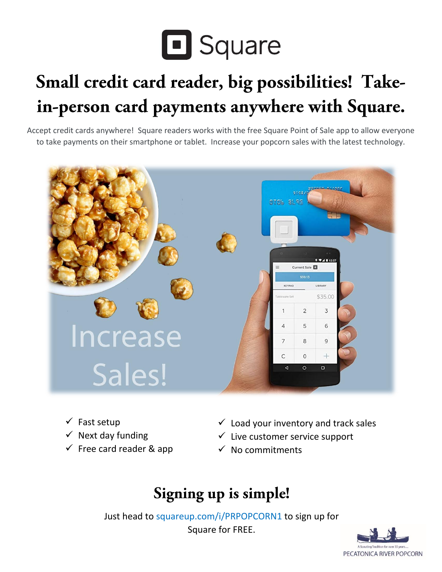

# Small credit card reader, big possibilities! Takein-person card payments anywhere with Square.

Accept credit cards anywhere! Square readers works with the free Square Point of Sale app to allow everyone to take payments on their smartphone or tablet. Increase your popcorn sales with the latest technology.



- $\checkmark$  Fast setup
- $\checkmark$  Next day funding
- $\checkmark$  Free card reader & app
- $\checkmark$  Load your inventory and track sales
- $\checkmark$  Live customer service support
- $\checkmark$  No commitments

# Signing up is simple!

Just head to squareup.com/i/PRPOPCORN1 to sign up for Square for FREE.